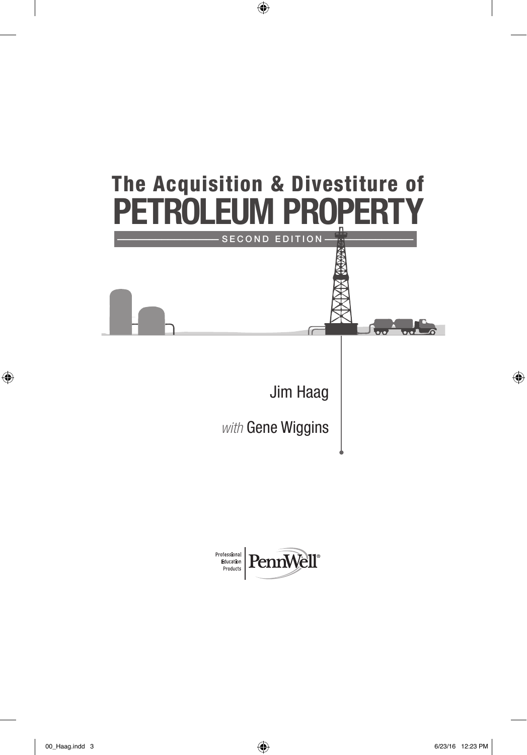

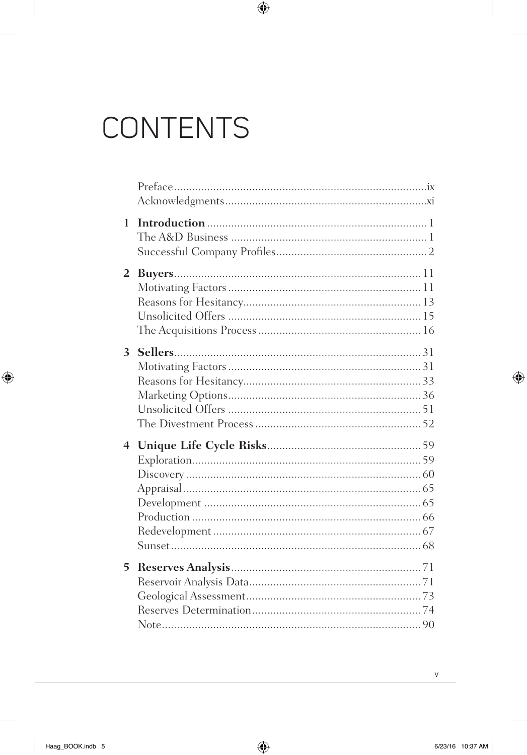# CONTENTS

| 1              |  |
|----------------|--|
| $\overline{2}$ |  |
| 3 <sup>1</sup> |  |
| $\overline{4}$ |  |
| 5              |  |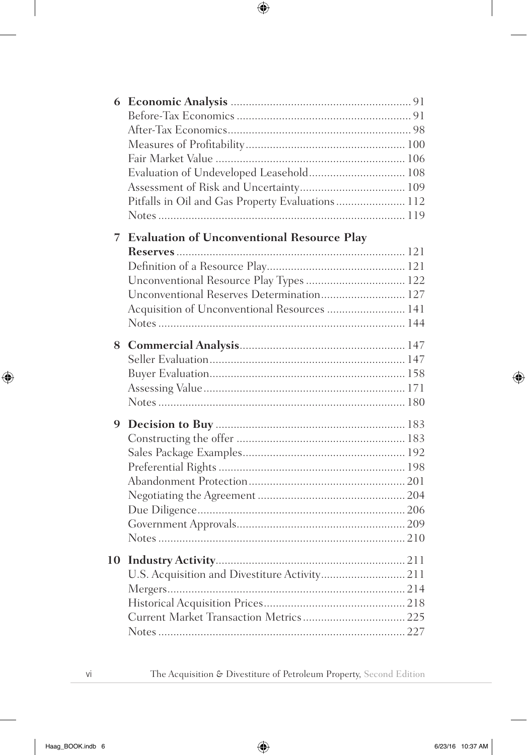| 6  |                                                   |  |
|----|---------------------------------------------------|--|
|    |                                                   |  |
|    |                                                   |  |
|    |                                                   |  |
|    |                                                   |  |
|    | Evaluation of Undeveloped Leasehold 108           |  |
|    |                                                   |  |
|    | Pitfalls in Oil and Gas Property Evaluations 112  |  |
|    |                                                   |  |
|    |                                                   |  |
| 7  | <b>Evaluation of Unconventional Resource Play</b> |  |
|    |                                                   |  |
|    |                                                   |  |
|    | Unconventional Resource Play Types  122           |  |
|    | Unconventional Reserves Determination 127         |  |
|    | Acquisition of Unconventional Resources  141      |  |
|    |                                                   |  |
| 8  |                                                   |  |
|    |                                                   |  |
|    |                                                   |  |
|    |                                                   |  |
|    |                                                   |  |
| 9  |                                                   |  |
|    |                                                   |  |
|    |                                                   |  |
|    |                                                   |  |
|    |                                                   |  |
|    |                                                   |  |
|    |                                                   |  |
|    |                                                   |  |
|    |                                                   |  |
|    |                                                   |  |
| 10 |                                                   |  |
|    | U.S. Acquisition and Divestiture Activity 211     |  |
|    |                                                   |  |
|    |                                                   |  |
|    |                                                   |  |
|    |                                                   |  |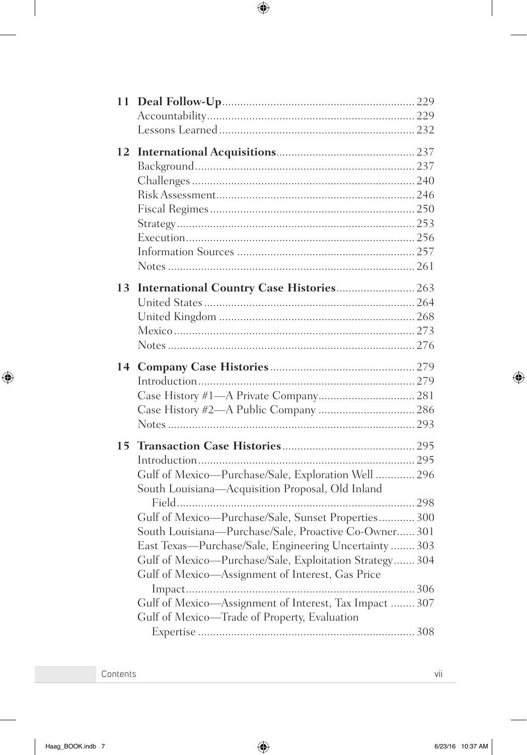| 11 |                                                         |  |
|----|---------------------------------------------------------|--|
|    |                                                         |  |
|    |                                                         |  |
| 12 |                                                         |  |
|    |                                                         |  |
|    |                                                         |  |
|    |                                                         |  |
|    |                                                         |  |
|    |                                                         |  |
|    |                                                         |  |
|    |                                                         |  |
|    |                                                         |  |
| 13 | International Country Case Histories 263                |  |
|    |                                                         |  |
|    |                                                         |  |
|    |                                                         |  |
|    |                                                         |  |
| 14 |                                                         |  |
|    |                                                         |  |
|    |                                                         |  |
|    |                                                         |  |
|    |                                                         |  |
| 15 |                                                         |  |
|    |                                                         |  |
|    | Gulf of Mexico-Purchase/Sale, Exploration Well  296     |  |
|    | South Louisiana-Acquisition Proposal, Old Inland        |  |
|    |                                                         |  |
|    | Gulf of Mexico-Purchase/Sale, Sunset Properties 300     |  |
|    | South Louisiana-Purchase/Sale, Proactive Co-Owner 301   |  |
|    | East Texas—Purchase/Sale, Engineering Uncertainty  303  |  |
|    | Gulf of Mexico-Purchase/Sale, Exploitation Strategy 304 |  |
|    | Gulf of Mexico-Assignment of Interest, Gas Price        |  |
|    |                                                         |  |
|    | Gulf of Mexico-Assignment of Interest, Tax Impact  307  |  |
|    | Gulf of Mexico-Trade of Property, Evaluation            |  |
|    |                                                         |  |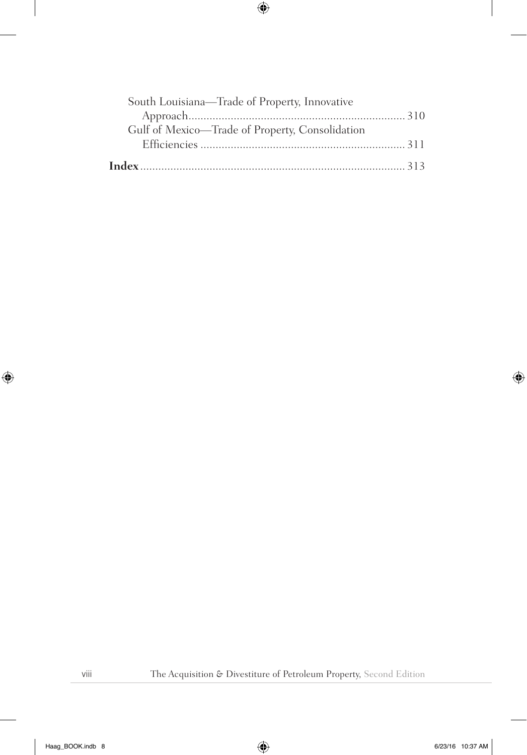| South Louisiana-Trade of Property, Innovative   |  |
|-------------------------------------------------|--|
|                                                 |  |
| Gulf of Mexico-Trade of Property, Consolidation |  |
|                                                 |  |
|                                                 |  |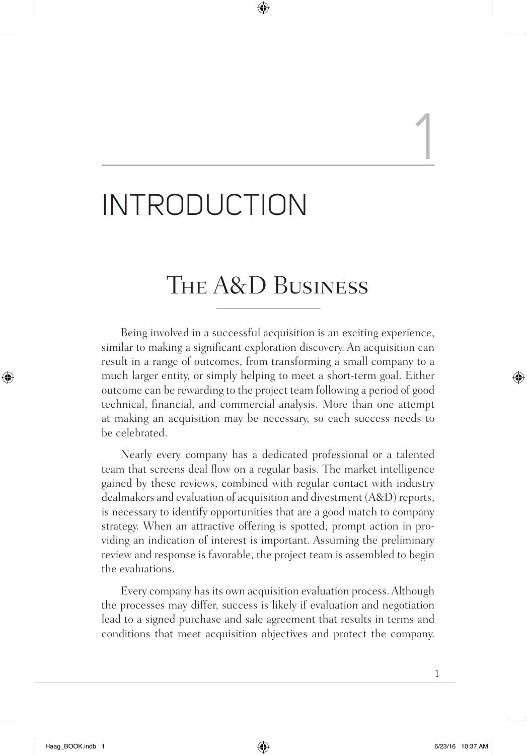# INTRODUCTION

## The A&D Business

Being involved in a successful acquisition is an exciting experience, similar to making a significant exploration discovery. An acquisition can result in a range of outcomes, from transforming a small company to a much larger entity, or simply helping to meet a short-term goal. Either outcome can be rewarding to the project team following a period of good technical, financial, and commercial analysis. More than one attempt at making an acquisition may be necessary, so each success needs to be celebrated.

Nearly every company has a dedicated professional or a talented team that screens deal flow on a regular basis. The market intelligence gained by these reviews, combined with regular contact with industry dealmakers and evaluation of acquisition and divestment (A&D) reports, is necessary to identify opportunities that are a good match to company strategy. When an attractive offering is spotted, prompt action in providing an indication of interest is important. Assuming the preliminary review and response is favorable, the project team is assembled to begin the evaluations.

Every company has its own acquisition evaluation process. Although the processes may differ, success is likely if evaluation and negotiation lead to a signed purchase and sale agreement that results in terms and conditions that meet acquisition objectives and protect the company.

1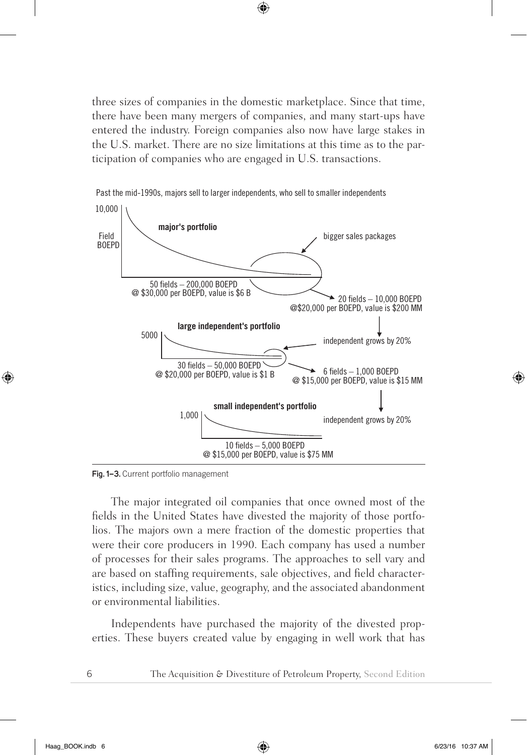three sizes of companies in the domestic marketplace. Since that time, there have been many mergers of companies, and many start-ups have entered the industry. Foreign companies also now have large stakes in the U.S. market. There are no size limitations at this time as to the participation of companies who are engaged in U.S. transactions.



Past the mid-1990s, majors sell to larger independents, who sell to smaller independents

**Fig. 1–3.** Current portfolio management

The major integrated oil companies that once owned most of the fields in the United States have divested the majority of those portfolios. The majors own a mere fraction of the domestic properties that were their core producers in 1990. Each company has used a number of processes for their sales programs. The approaches to sell vary and are based on staffing requirements, sale objectives, and field characteristics, including size, value, geography, and the associated abandonment or environmental liabilities.

Independents have purchased the majority of the divested properties. These buyers created value by engaging in well work that has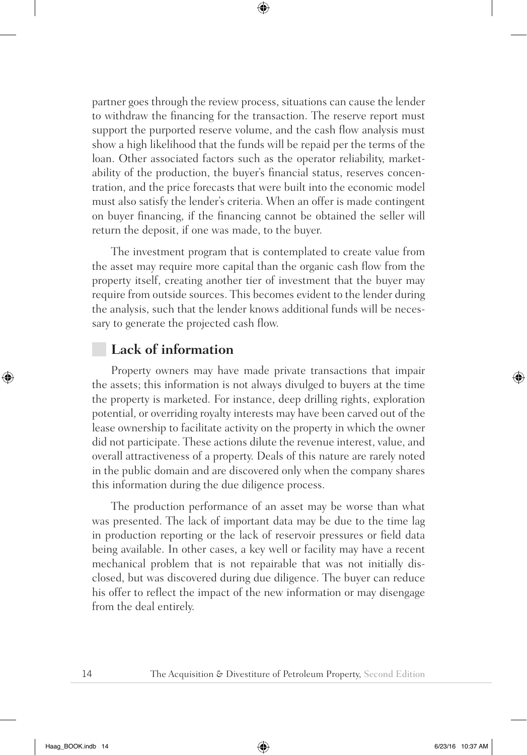partner goes through the review process, situations can cause the lender to withdraw the financing for the transaction. The reserve report must support the purported reserve volume, and the cash flow analysis must show a high likelihood that the funds will be repaid per the terms of the loan. Other associated factors such as the operator reliability, marketability of the production, the buyer's financial status, reserves concentration, and the price forecasts that were built into the economic model must also satisfy the lender's criteria. When an offer is made contingent on buyer financing, if the financing cannot be obtained the seller will return the deposit, if one was made, to the buyer.

The investment program that is contemplated to create value from the asset may require more capital than the organic cash flow from the property itself, creating another tier of investment that the buyer may require from outside sources. This becomes evident to the lender during the analysis, such that the lender knows additional funds will be necessary to generate the projected cash flow.

#### **Lack of information**

Property owners may have made private transactions that impair the assets; this information is not always divulged to buyers at the time the property is marketed. For instance, deep drilling rights, exploration potential, or overriding royalty interests may have been carved out of the lease ownership to facilitate activity on the property in which the owner did not participate. These actions dilute the revenue interest, value, and overall attractiveness of a property. Deals of this nature are rarely noted in the public domain and are discovered only when the company shares this information during the due diligence process.

The production performance of an asset may be worse than what was presented. The lack of important data may be due to the time lag in production reporting or the lack of reservoir pressures or field data being available. In other cases, a key well or facility may have a recent mechanical problem that is not repairable that was not initially disclosed, but was discovered during due diligence. The buyer can reduce his offer to reflect the impact of the new information or may disengage from the deal entirely.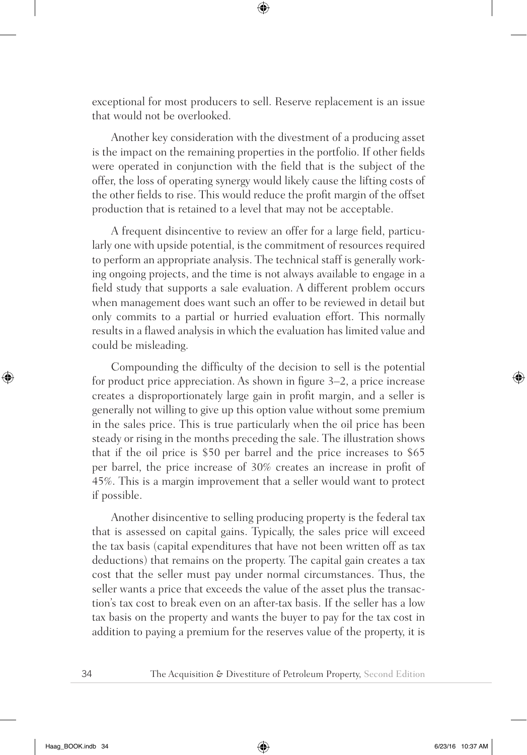exceptional for most producers to sell. Reserve replacement is an issue that would not be overlooked.

Another key consideration with the divestment of a producing asset is the impact on the remaining properties in the portfolio. If other fields were operated in conjunction with the field that is the subject of the offer, the loss of operating synergy would likely cause the lifting costs of the other fields to rise. This would reduce the profit margin of the offset production that is retained to a level that may not be acceptable.

A frequent disincentive to review an offer for a large field, particularly one with upside potential, is the commitment of resources required to perform an appropriate analysis. The technical staff is generally working ongoing projects, and the time is not always available to engage in a field study that supports a sale evaluation. A different problem occurs when management does want such an offer to be reviewed in detail but only commits to a partial or hurried evaluation effort. This normally results in a flawed analysis in which the evaluation has limited value and could be misleading.

Compounding the difficulty of the decision to sell is the potential for product price appreciation. As shown in figure 3–2, a price increase creates a disproportionately large gain in profit margin, and a seller is generally not willing to give up this option value without some premium in the sales price. This is true particularly when the oil price has been steady or rising in the months preceding the sale. The illustration shows that if the oil price is \$50 per barrel and the price increases to \$65 per barrel, the price increase of 30% creates an increase in profit of 45%. This is a margin improvement that a seller would want to protect if possible.

Another disincentive to selling producing property is the federal tax that is assessed on capital gains. Typically, the sales price will exceed the tax basis (capital expenditures that have not been written off as tax deductions) that remains on the property. The capital gain creates a tax cost that the seller must pay under normal circumstances. Thus, the seller wants a price that exceeds the value of the asset plus the transaction's tax cost to break even on an after-tax basis. If the seller has a low tax basis on the property and wants the buyer to pay for the tax cost in addition to paying a premium for the reserves value of the property, it is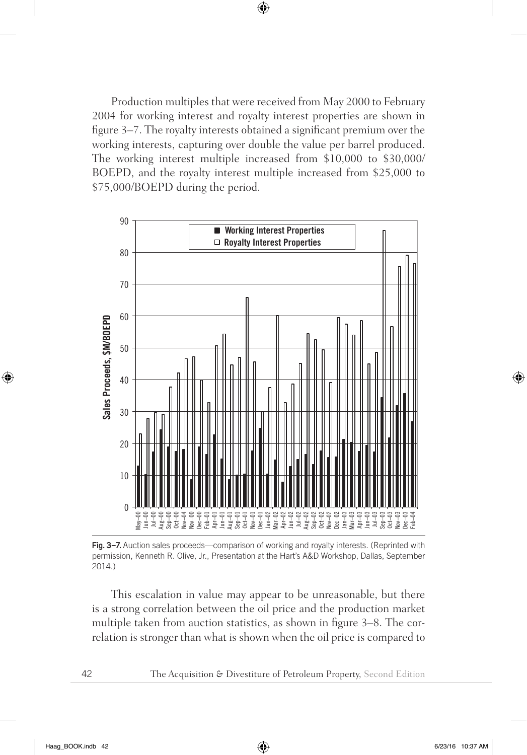Production multiples that were received from May 2000 to February 2004 for working interest and royalty interest properties are shown in figure 3–7. The royalty interests obtained a significant premium over the working interests, capturing over double the value per barrel produced. The working interest multiple increased from \$10,000 to \$30,000/ BOEPD, and the royalty interest multiple increased from \$25,000 to \$75,000/BOEPD during the period.



Fig. 3-7. Auction sales proceeds—comparison of working and royalty interests. (Reprinted with permission, Kenneth R. Olive, Jr., Presentation at the Hart's A&D Workshop, Dallas, September 2014.)

This escalation in value may appear to be unreasonable, but there is a strong correlation between the oil price and the production market multiple taken from auction statistics, as shown in figure 3–8. The correlation is stronger than what is shown when the oil price is compared to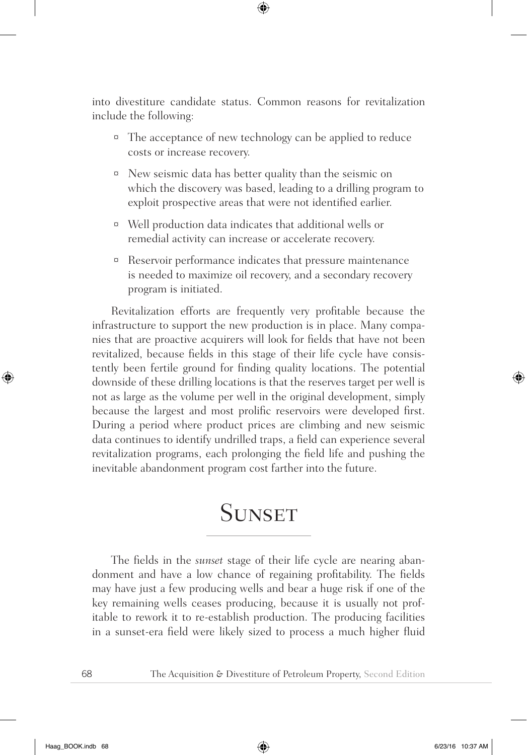into divestiture candidate status. Common reasons for revitalization include the following:

- ¤ The acceptance of new technology can be applied to reduce costs or increase recovery.
- ¤ New seismic data has better quality than the seismic on which the discovery was based, leading to a drilling program to exploit prospective areas that were not identified earlier.
- ¤ Well production data indicates that additional wells or remedial activity can increase or accelerate recovery.
- ¤ Reservoir performance indicates that pressure maintenance is needed to maximize oil recovery, and a secondary recovery program is initiated.

Revitalization efforts are frequently very profitable because the infrastructure to support the new production is in place. Many companies that are proactive acquirers will look for fields that have not been revitalized, because fields in this stage of their life cycle have consistently been fertile ground for finding quality locations. The potential downside of these drilling locations is that the reserves target per well is not as large as the volume per well in the original development, simply because the largest and most prolific reservoirs were developed first. During a period where product prices are climbing and new seismic data continues to identify undrilled traps, a field can experience several revitalization programs, each prolonging the field life and pushing the inevitable abandonment program cost farther into the future.

### **SUNSET**

The fields in the *sunset* stage of their life cycle are nearing abandonment and have a low chance of regaining profitability. The fields may have just a few producing wells and bear a huge risk if one of the key remaining wells ceases producing, because it is usually not profitable to rework it to re-establish production. The producing facilities in a sunset-era field were likely sized to process a much higher fluid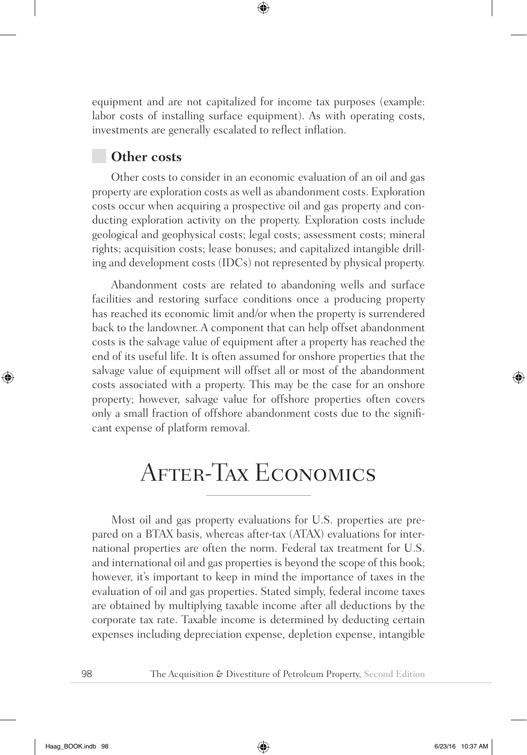equipment and are not capitalized for income tax purposes (example: labor costs of installing surface equipment). As with operating costs, investments are generally escalated to reflect inflation.

#### **Other costs**

Other costs to consider in an economic evaluation of an oil and gas property are exploration costs as well as abandonment costs. Exploration costs occur when acquiring a prospective oil and gas property and conducting exploration activity on the property. Exploration costs include geological and geophysical costs; legal costs; assessment costs; mineral rights; acquisition costs; lease bonuses; and capitalized intangible drilling and development costs (IDCs) not represented by physical property.

Abandonment costs are related to abandoning wells and surface facilities and restoring surface conditions once a producing property has reached its economic limit and/or when the property is surrendered back to the landowner. A component that can help offset abandonment costs is the salvage value of equipment after a property has reached the end of its useful life. It is often assumed for onshore properties that the salvage value of equipment will offset all or most of the abandonment costs associated with a property. This may be the case for an onshore property; however, salvage value for offshore properties often covers only a small fraction of offshore abandonment costs due to the significant expense of platform removal.

## After-Tax Economics

Most oil and gas property evaluations for U.S. properties are prepared on a BTAX basis, whereas after-tax (ATAX) evaluations for international properties are often the norm. Federal tax treatment for U.S. and international oil and gas properties is beyond the scope of this book; however, it's important to keep in mind the importance of taxes in the evaluation of oil and gas properties. Stated simply, federal income taxes are obtained by multiplying taxable income after all deductions by the corporate tax rate. Taxable income is determined by deducting certain expenses including depreciation expense, depletion expense, intangible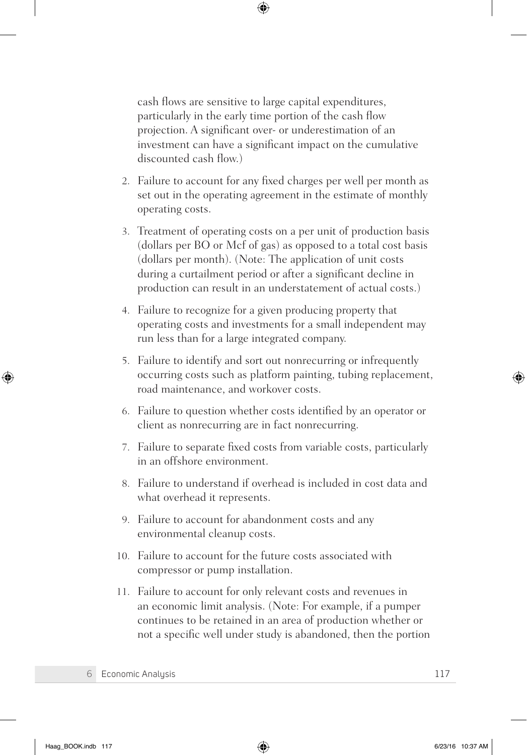cash flows are sensitive to large capital expenditures, particularly in the early time portion of the cash flow projection. A significant over- or underestimation of an investment can have a significant impact on the cumulative discounted cash flow.)

- 2. Failure to account for any fixed charges per well per month as set out in the operating agreement in the estimate of monthly operating costs.
- 3. Treatment of operating costs on a per unit of production basis (dollars per BO or Mcf of gas) as opposed to a total cost basis (dollars per month). (Note: The application of unit costs during a curtailment period or after a significant decline in production can result in an understatement of actual costs.)
- 4. Failure to recognize for a given producing property that operating costs and investments for a small independent may run less than for a large integrated company.
- 5. Failure to identify and sort out nonrecurring or infrequently occurring costs such as platform painting, tubing replacement, road maintenance, and workover costs.
- 6. Failure to question whether costs identified by an operator or client as nonrecurring are in fact nonrecurring.
- 7. Failure to separate fixed costs from variable costs, particularly in an offshore environment.
- 8. Failure to understand if overhead is included in cost data and what overhead it represents.
- 9. Failure to account for abandonment costs and any environmental cleanup costs.
- 10. Failure to account for the future costs associated with compressor or pump installation.
- 11. Failure to account for only relevant costs and revenues in an economic limit analysis. (Note: For example, if a pumper continues to be retained in an area of production whether or not a specific well under study is abandoned, then the portion